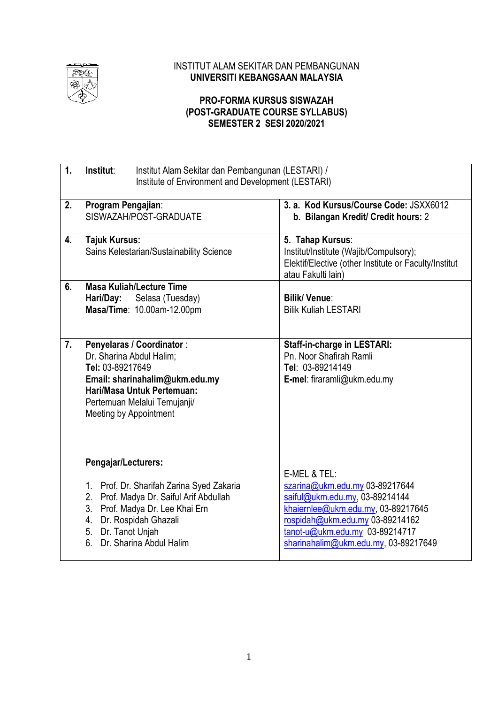

## INSTITUT ALAM SEKITAR DAN PEMBANGUNAN **UNIVERSITI KEBANGSAAN MALAYSIA**

## **PRO-FORMA KURSUS SISWAZAH (POST-GRADUATE COURSE SYLLABUS) SEMESTER 2 SESI 2020/2021**

| 1. | Institut:<br>Institut Alam Sekitar dan Pembangunan (LESTARI) /<br>Institute of Environment and Development (LESTARI)                                                                                       |                                                                                                                                                                                   |  |
|----|------------------------------------------------------------------------------------------------------------------------------------------------------------------------------------------------------------|-----------------------------------------------------------------------------------------------------------------------------------------------------------------------------------|--|
| 2. | Program Pengajian:<br>SISWAZAH/POST-GRADUATE                                                                                                                                                               | 3. a. Kod Kursus/Course Code: JSXX6012<br>b. Bilangan Kredit/ Credit hours: 2                                                                                                     |  |
| 4. | <b>Tajuk Kursus:</b><br>Sains Kelestarian/Sustainability Science                                                                                                                                           | 5. Tahap Kursus:<br>Institut/Institute (Wajib/Compulsory);<br>Elektif/Elective (other Institute or Faculty/Institut<br>atau Fakulti lain)                                         |  |
| 6. | <b>Masa Kuliah/Lecture Time</b><br>Selasa (Tuesday)<br>Hari/Day:<br>Masa/Time: 10.00am-12.00pm                                                                                                             | <b>Bilik/ Venue:</b><br><b>Bilik Kuliah LESTARI</b>                                                                                                                               |  |
| 7. | <b>Penyelaras / Coordinator:</b><br>Dr. Sharina Abdul Halim;<br>Tel: 03-89217649<br>Email: sharinahalim@ukm.edu.my<br>Hari/Masa Untuk Pertemuan:<br>Pertemuan Melalui Temujanji/<br>Meeting by Appointment | <b>Staff-in-charge in LESTARI:</b><br>Pn. Noor Shafirah Ramli<br>Tel: 03-89214149<br>E-mel: firaramli@ukm.edu.my                                                                  |  |
|    | Pengajar/Lecturers:<br>1. Prof. Dr. Sharifah Zarina Syed Zakaria                                                                                                                                           | E-MEL & TEL:<br>szarina@ukm.edu.my 03-89217644                                                                                                                                    |  |
|    | Prof. Madya Dr. Saiful Arif Abdullah<br>2.<br>3.<br>Prof. Madya Dr. Lee Khai Ern<br>Dr. Rospidah Ghazali<br>4.<br>5. Dr. Tanot Unjah<br>Dr. Sharina Abdul Halim<br>6.                                      | saiful@ukm.edu.my, 03-89214144<br>khaiernlee@ukm.edu.my, 03-89217645<br>rospidah@ukm.edu.my 03-89214162<br>tanot-u@ukm.edu.my 03-89214717<br>sharinahalim@ukm.edu.my, 03-89217649 |  |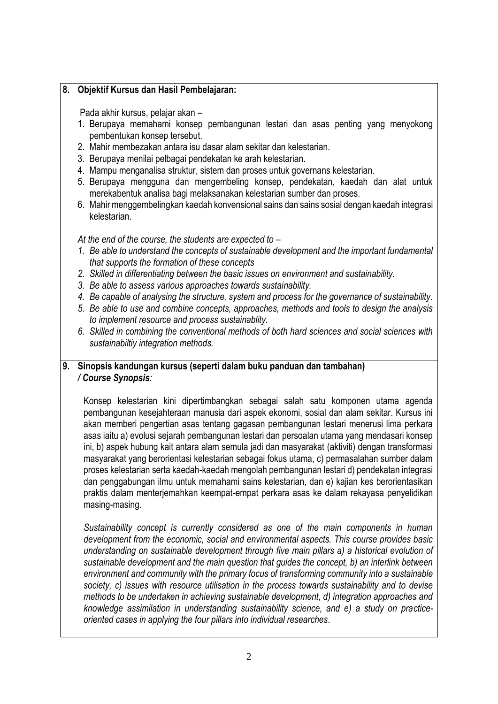#### **8. Objektif Kursus dan Hasil Pembelajaran:**

Pada akhir kursus, pelajar akan –

- 1. Berupaya memahami konsep pembangunan lestari dan asas penting yang menyokong pembentukan konsep tersebut.
- 2. Mahir membezakan antara isu dasar alam sekitar dan kelestarian.
- 3. Berupaya menilai pelbagai pendekatan ke arah kelestarian.
- 4. Mampu menganalisa struktur, sistem dan proses untuk governans kelestarian.
- 5. Berupaya mengguna dan mengembeling konsep, pendekatan, kaedah dan alat untuk merekabentuk analisa bagi melaksanakan kelestarian sumber dan proses.
- 6. Mahir menggembelingkan kaedah konvensional sains dan sains sosial dengan kaedah integrasi kelestarian.

*At the end of the course, the students are expected to –*

- *1. Be able to understand the concepts of sustainable development and the important fundamental that supports the formation of these concepts*
- *2. Skilled in differentiating between the basic issues on environment and sustainability.*
- *3. Be able to assess various approaches towards sustainability.*
- *4. Be capable of analysing the structure, system and process for the governance of sustainability.*
- *5. Be able to use and combine concepts, approaches, methods and tools to design the analysis to implement resource and process sustainablity.*
- *6. Skilled in combining the conventional methods of both hard sciences and social sciences with sustainabiltiy integration methods.*

## **9. Sinopsis kandungan kursus (seperti dalam buku panduan dan tambahan)** */ Course Synopsis:*

Konsep kelestarian kini dipertimbangkan sebagai salah satu komponen utama agenda pembangunan kesejahteraan manusia dari aspek ekonomi, sosial dan alam sekitar. Kursus ini akan memberi pengertian asas tentang gagasan pembangunan lestari menerusi lima perkara asas iaitu a) evolusi sejarah pembangunan lestari dan persoalan utama yang mendasari konsep ini, b) aspek hubung kait antara alam semula jadi dan masyarakat (aktiviti) dengan transformasi masyarakat yang berorientasi kelestarian sebagai fokus utama, c) permasalahan sumber dalam proses kelestarian serta kaedah-kaedah mengolah pembangunan lestari d) pendekatan integrasi dan penggabungan ilmu untuk memahami sains kelestarian, dan e) kajian kes berorientasikan praktis dalam menterjemahkan keempat-empat perkara asas ke dalam rekayasa penyelidikan masing-masing.

*Sustainability concept is currently considered as one of the main components in human development from the economic, social and environmental aspects. This course provides basic understanding on sustainable development through five main pillars a) a historical evolution of sustainable development and the main question that guides the concept, b) an interlink between environment and community with the primary focus of transforming community into a sustainable society, c) issues with resource utilisation in the process towards sustainability and to devise methods to be undertaken in achieving sustainable development, d) integration approaches and knowledge assimilation in understanding sustainability science, and e) a study on practiceoriented cases in applying the four pillars into individual researches.*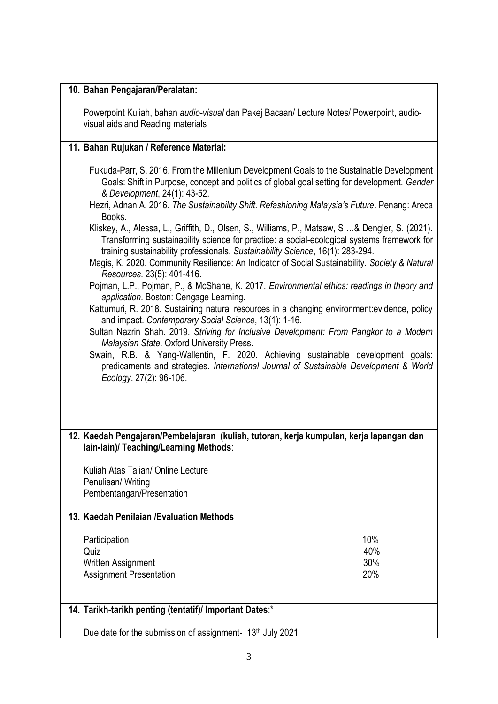#### **10. Bahan Pengajaran/Peralatan:**

Powerpoint Kuliah, bahan *audio-visual* dan Pakej Bacaan/ Lecture Notes/ Powerpoint, audiovisual aids and Reading materials

#### **11. Bahan Rujukan / Reference Material:**

Fukuda-Parr, S. 2016. From the Millenium Development Goals to the Sustainable Development Goals: Shift in Purpose, concept and politics of global goal setting for development. *Gender & Development*, 24(1): 43-52.

- Hezri, Adnan A. 2016. *The Sustainability Shift. Refashioning Malaysia's Future*. Penang: Areca **Books**
- Kliskey, A., Alessa, L., Griffith, D., Olsen, S., Williams, P., Matsaw, S….& Dengler, S. (2021). Transforming sustainability science for practice: a social-ecological systems framework for training sustainability professionals*. Sustainability Science*, 16(1): 283-294.
- Magis, K. 2020. Community Resilience: An Indicator of Social Sustainability. *Society & Natural Resources*. 23(5): 401-416.
- Pojman, L.P., Pojman, P., & McShane, K. 2017. *Environmental ethics: readings in theory and application*. Boston: Cengage Learning.
- Kattumuri, R. 2018. Sustaining natural resources in a changing environment:evidence, policy and impact. *Contemporary Social Science*, 13(1): 1-16.
- Sultan Nazrin Shah. 2019. *Striving for Inclusive Development: From Pangkor to a Modern Malaysian State*. Oxford University Press.

Swain, R.B. & Yang-Wallentin, F. 2020. Achieving sustainable development goals: predicaments and strategies. *International Journal of Sustainable Development & World Ecology*. 27(2): 96-106.

**12. Kaedah Pengajaran/Pembelajaran (kuliah, tutoran, kerja kumpulan, kerja lapangan dan lain-lain)/ Teaching/Learning Methods**:

Kuliah Atas Talian/ Online Lecture Penulisan/ Writing Pembentangan/Presentation

#### **13. Kaedah Penilaian /Evaluation Methods**

| Participation                  | 10% |
|--------------------------------|-----|
| Quiz                           | 40% |
| Written Assignment             | 30% |
| <b>Assignment Presentation</b> | 20% |

# **14. Tarikh-tarikh penting (tentatif)/ Important Dates**:\*

Due date for the submission of assignment-  $13<sup>th</sup>$  July 2021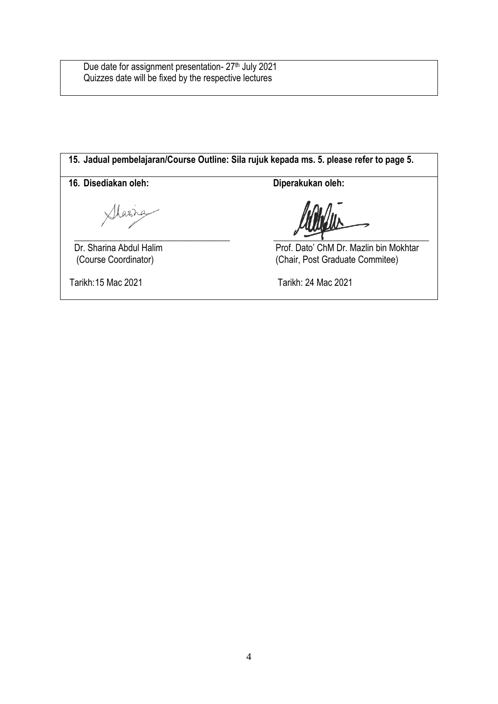Due date for assignment presentation- 27<sup>th</sup> July 2021 Quizzes date will be fixed by the respective lectures

**15. Jadual pembelajaran/Course Outline: Sila rujuk kepada ms. 5. please refer to page 5.** 16. Disediakan oleh: Diperakukan oleh: Sharra **\_\_\_\_\_\_\_\_\_\_\_\_\_\_\_\_\_\_\_\_\_\_\_\_\_\_\_\_\_\_\_\_\_\_** \_\_\_\_\_\_\_\_\_\_\_\_\_\_\_\_\_\_\_\_\_\_\_\_\_\_\_\_\_\_\_\_\_\_ Dr. Sharina Abdul Halim Prof. Dato' ChM Dr. Mazlin bin Mokhtar (Course Coordinator) (Chair, Post Graduate Commitee) (Chair, Post Graduate Commitee) Tarikh:15 Mac 2021 Tarikh: 24 Mac 2021